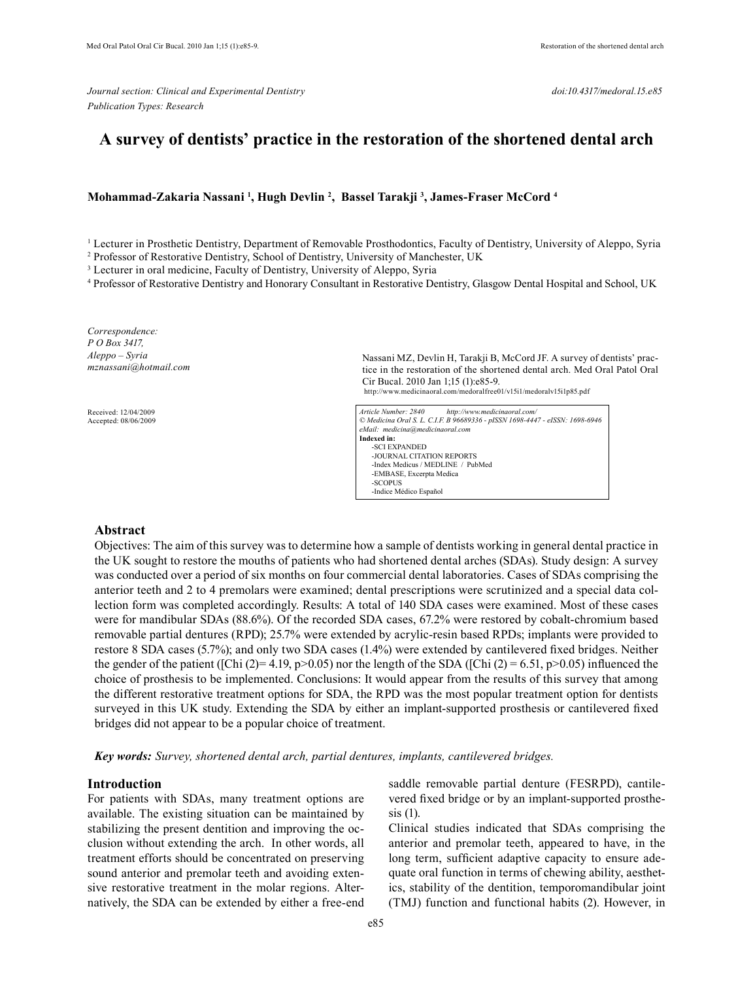*Journal section: Clinical and Experimental Dentistry doi:10.4317/medoral.15.e85 Publication Types: Research*

# **A survey of dentists' practice in the restoration of the shortened dental arch**

# **Mohammad-Zakaria Nassani 1 , Hugh Devlin 2 , Bassel Tarakji 3 , James-Fraser McCord 4**

<sup>1</sup> Lecturer in Prosthetic Dentistry, Department of Removable Prosthodontics, Faculty of Dentistry, University of Aleppo, Syria

<sup>2</sup> Professor of Restorative Dentistry, School of Dentistry, University of Manchester, UK

<sup>3</sup> Lecturer in oral medicine, Faculty of Dentistry, University of Aleppo, Syria

4 Professor of Restorative Dentistry and Honorary Consultant in Restorative Dentistry, Glasgow Dental Hospital and School, UK

*Correspondence: P O Box 3417, Aleppo – Syria mznassani@hotmail.com*

 Received: 12/04/2009 Accepted: 08/06/2009 Nassani MZ, Devlin H, Tarakji B, McCord JF. A survey of dentists' practice in the restoration of the shortened dental arch. Med Oral Patol Oral Cir Bucal. 2010 Jan 1;15 (1):e85-9. http://www.medicinaoral.com/medoralfree01/v15i1/medoralv15i1p85.pdf

| http://www.medicinaoral.com/<br>Article Number: 2840                         |  |  |  |  |  |  |
|------------------------------------------------------------------------------|--|--|--|--|--|--|
| © Medicina Oral S. L. C.I.F. B 96689336 - pISSN 1698-4447 - eISSN: 1698-6946 |  |  |  |  |  |  |
| eMail: medicina@medicinaoral.com                                             |  |  |  |  |  |  |
| Indexed in:                                                                  |  |  |  |  |  |  |
| -SCI EXPANDED                                                                |  |  |  |  |  |  |
| -JOURNAL CITATION REPORTS                                                    |  |  |  |  |  |  |
| -Index Medicus / MEDLINE / PubMed                                            |  |  |  |  |  |  |
| -EMBASE, Excerpta Medica                                                     |  |  |  |  |  |  |
| -SCOPUS                                                                      |  |  |  |  |  |  |
| -Indice Médico Español                                                       |  |  |  |  |  |  |

## **Abstract**

Objectives: The aim of this survey was to determine how a sample of dentists working in general dental practice in the UK sought to restore the mouths of patients who had shortened dental arches (SDAs). Study design: A survey was conducted over a period of six months on four commercial dental laboratories. Cases of SDAs comprising the anterior teeth and 2 to 4 premolars were examined; dental prescriptions were scrutinized and a special data collection form was completed accordingly. Results: A total of 140 SDA cases were examined. Most of these cases were for mandibular SDAs (88.6%). Of the recorded SDA cases, 67.2% were restored by cobalt-chromium based removable partial dentures (RPD); 25.7% were extended by acrylic-resin based RPDs; implants were provided to restore 8 SDA cases (5.7%); and only two SDA cases (1.4%) were extended by cantilevered fixed bridges. Neither the gender of the patient ([Chi (2)= 4.19, p>0.05) nor the length of the SDA ([Chi (2) = 6.51, p>0.05) influenced the choice of prosthesis to be implemented. Conclusions: It would appear from the results of this survey that among the different restorative treatment options for SDA, the RPD was the most popular treatment option for dentists surveyed in this UK study. Extending the SDA by either an implant-supported prosthesis or cantilevered fixed bridges did not appear to be a popular choice of treatment.

*Key words: Survey, shortened dental arch, partial dentures, implants, cantilevered bridges.*

### **Introduction**

For patients with SDAs, many treatment options are available. The existing situation can be maintained by stabilizing the present dentition and improving the occlusion without extending the arch. In other words, all treatment efforts should be concentrated on preserving sound anterior and premolar teeth and avoiding extensive restorative treatment in the molar regions. Alternatively, the SDA can be extended by either a free-end saddle removable partial denture (FESRPD), cantilevered fixed bridge or by an implant-supported prosthesis (1).

Clinical studies indicated that SDAs comprising the anterior and premolar teeth, appeared to have, in the long term, sufficient adaptive capacity to ensure adequate oral function in terms of chewing ability, aesthetics, stability of the dentition, temporomandibular joint (TMJ) function and functional habits (2). However, in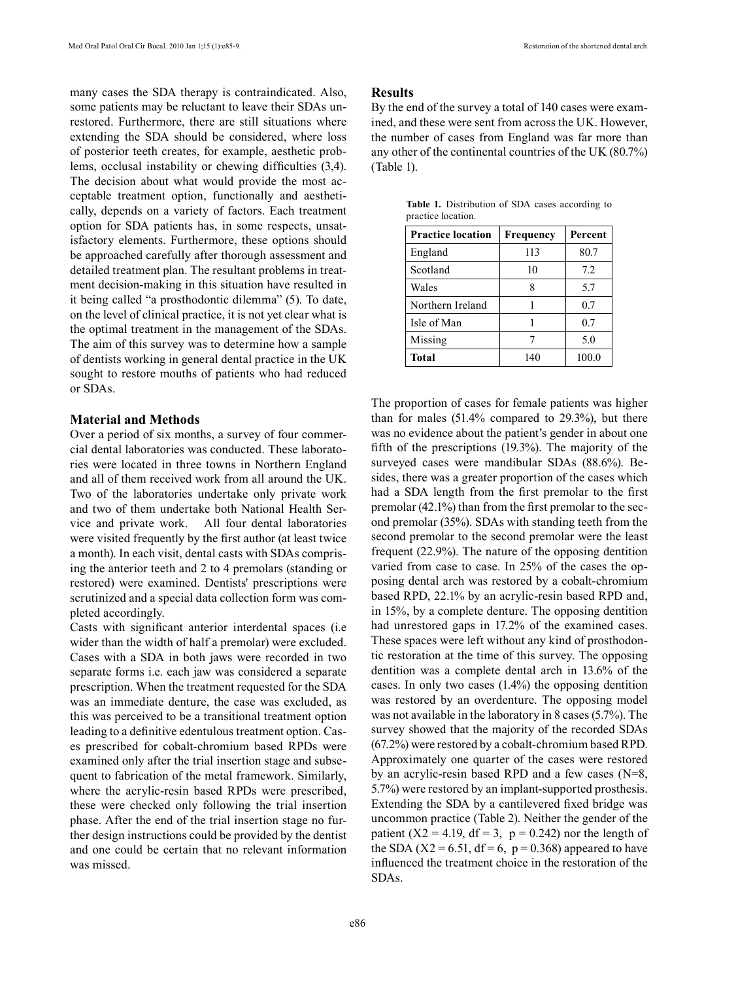many cases the SDA therapy is contraindicated. Also, some patients may be reluctant to leave their SDAs unrestored. Furthermore, there are still situations where extending the SDA should be considered, where loss of posterior teeth creates, for example, aesthetic problems, occlusal instability or chewing difficulties (3,4). The decision about what would provide the most acceptable treatment option, functionally and aesthetically, depends on a variety of factors. Each treatment option for SDA patients has, in some respects, unsatisfactory elements. Furthermore, these options should be approached carefully after thorough assessment and detailed treatment plan. The resultant problems in treatment decision-making in this situation have resulted in it being called "a prosthodontic dilemma" (5). To date, on the level of clinical practice, it is not yet clear what is the optimal treatment in the management of the SDAs. The aim of this survey was to determine how a sample of dentists working in general dental practice in the UK sought to restore mouths of patients who had reduced or SDAs.

## **Material and Methods**

Over a period of six months, a survey of four commercial dental laboratories was conducted. These laboratories were located in three towns in Northern England and all of them received work from all around the UK. Two of the laboratories undertake only private work and two of them undertake both National Health Service and private work. All four dental laboratories were visited frequently by the first author (at least twice a month). In each visit, dental casts with SDAs comprising the anterior teeth and 2 to 4 premolars (standing or restored) were examined. Dentists' prescriptions were scrutinized and a special data collection form was completed accordingly.

Casts with significant anterior interdental spaces (i.e wider than the width of half a premolar) were excluded. Cases with a SDA in both jaws were recorded in two separate forms i.e. each jaw was considered a separate prescription. When the treatment requested for the SDA was an immediate denture, the case was excluded, as this was perceived to be a transitional treatment option leading to a definitive edentulous treatment option. Cases prescribed for cobalt-chromium based RPDs were examined only after the trial insertion stage and subsequent to fabrication of the metal framework. Similarly, where the acrylic-resin based RPDs were prescribed, these were checked only following the trial insertion phase. After the end of the trial insertion stage no further design instructions could be provided by the dentist and one could be certain that no relevant information was missed.

# **Results**

By the end of the survey a total of 140 cases were examined, and these were sent from across the UK. However, the number of cases from England was far more than any other of the continental countries of the UK (80.7%) (Table 1).

| <b>Practice location</b> | Frequency | Percent |  |
|--------------------------|-----------|---------|--|
| England                  | 113       | 80.7    |  |
| Scotland                 | 10        | 7.2     |  |
| Wales                    | 8         | 5.7     |  |
| Northern Ireland         |           | 0.7     |  |
| Isle of Man              |           | 0.7     |  |
| Missing                  |           | 5.0     |  |
| Total                    | 140       | 100.0   |  |

**Table 1.** Distribution of SDA cases according to practice location.

The proportion of cases for female patients was higher than for males (51.4% compared to 29.3%), but there was no evidence about the patient's gender in about one fifth of the prescriptions (19.3%). The majority of the surveyed cases were mandibular SDAs (88.6%). Besides, there was a greater proportion of the cases which had a SDA length from the first premolar to the first premolar (42.1%) than from the first premolar to the second premolar (35%). SDAs with standing teeth from the second premolar to the second premolar were the least frequent (22.9%). The nature of the opposing dentition varied from case to case. In 25% of the cases the opposing dental arch was restored by a cobalt-chromium based RPD, 22.1% by an acrylic-resin based RPD and, in 15%, by a complete denture. The opposing dentition had unrestored gaps in 17.2% of the examined cases. These spaces were left without any kind of prosthodontic restoration at the time of this survey. The opposing dentition was a complete dental arch in 13.6% of the cases. In only two cases (1.4%) the opposing dentition was restored by an overdenture. The opposing model was not available in the laboratory in 8 cases (5.7%). The survey showed that the majority of the recorded SDAs (67.2%) were restored by a cobalt-chromium based RPD. Approximately one quarter of the cases were restored by an acrylic-resin based RPD and a few cases (N=8, 5.7%) were restored by an implant-supported prosthesis. Extending the SDA by a cantilevered fixed bridge was uncommon practice (Table 2). Neither the gender of the patient ( $X2 = 4.19$ ,  $df = 3$ ,  $p = 0.242$ ) nor the length of the SDA ( $X2 = 6.51$ ,  $df = 6$ ,  $p = 0.368$ ) appeared to have influenced the treatment choice in the restoration of the SDAs.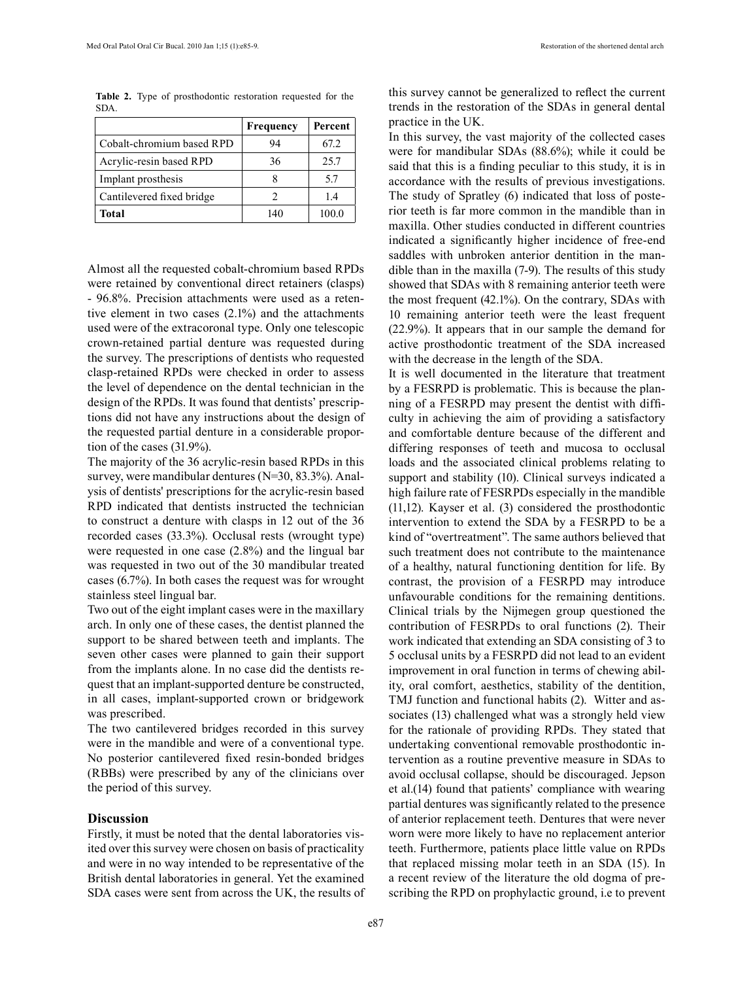|      |                                                                     | $\vert$ Frequency $\vert$ Percent $\vert$ |  |  |
|------|---------------------------------------------------------------------|-------------------------------------------|--|--|
| SDA. |                                                                     |                                           |  |  |
|      | <b>Table 2.</b> Type of prosthodontic restoration requested for the |                                           |  |  |

|                           | Frequency | Percent |
|---------------------------|-----------|---------|
| Cobalt-chromium based RPD | 94        | 67.2    |
| Acrylic-resin based RPD   | 36        | 25.7    |
| Implant prosthesis        |           | 5.7     |
| Cantilevered fixed bridge | 2         | 14      |
| Total                     | 140       | 100.0   |

Almost all the requested cobalt-chromium based RPDs were retained by conventional direct retainers (clasps) - 96.8%. Precision attachments were used as a retentive element in two cases (2.1%) and the attachments used were of the extracoronal type. Only one telescopic crown-retained partial denture was requested during the survey. The prescriptions of dentists who requested clasp-retained RPDs were checked in order to assess the level of dependence on the dental technician in the design of the RPDs. It was found that dentists' prescriptions did not have any instructions about the design of the requested partial denture in a considerable proportion of the cases (31.9%).

The majority of the 36 acrylic-resin based RPDs in this survey, were mandibular dentures (N=30, 83.3%). Analysis of dentists' prescriptions for the acrylic-resin based RPD indicated that dentists instructed the technician to construct a denture with clasps in 12 out of the 36 recorded cases (33.3%). Occlusal rests (wrought type) were requested in one case (2.8%) and the lingual bar was requested in two out of the 30 mandibular treated cases (6.7%). In both cases the request was for wrought stainless steel lingual bar.

Two out of the eight implant cases were in the maxillary arch. In only one of these cases, the dentist planned the support to be shared between teeth and implants. The seven other cases were planned to gain their support from the implants alone. In no case did the dentists request that an implant-supported denture be constructed, in all cases, implant-supported crown or bridgework was prescribed.

The two cantilevered bridges recorded in this survey were in the mandible and were of a conventional type. No posterior cantilevered fixed resin-bonded bridges (RBBs) were prescribed by any of the clinicians over the period of this survey.

#### **Discussion**

Firstly, it must be noted that the dental laboratories visited over this survey were chosen on basis of practicality and were in no way intended to be representative of the British dental laboratories in general. Yet the examined SDA cases were sent from across the UK, the results of this survey cannot be generalized to reflect the current trends in the restoration of the SDAs in general dental practice in the UK.

In this survey, the vast majority of the collected cases were for mandibular SDAs (88.6%); while it could be said that this is a finding peculiar to this study, it is in accordance with the results of previous investigations. The study of Spratley (6) indicated that loss of posterior teeth is far more common in the mandible than in maxilla. Other studies conducted in different countries indicated a significantly higher incidence of free-end saddles with unbroken anterior dentition in the mandible than in the maxilla (7-9). The results of this study showed that SDAs with 8 remaining anterior teeth were the most frequent (42.1%). On the contrary, SDAs with 10 remaining anterior teeth were the least frequent (22.9%). It appears that in our sample the demand for active prosthodontic treatment of the SDA increased with the decrease in the length of the SDA.

It is well documented in the literature that treatment by a FESRPD is problematic. This is because the planning of a FESRPD may present the dentist with difficulty in achieving the aim of providing a satisfactory and comfortable denture because of the different and differing responses of teeth and mucosa to occlusal loads and the associated clinical problems relating to support and stability (10). Clinical surveys indicated a high failure rate of FESRPDs especially in the mandible (11,12). Kayser et al. (3) considered the prosthodontic intervention to extend the SDA by a FESRPD to be a kind of "overtreatment". The same authors believed that such treatment does not contribute to the maintenance of a healthy, natural functioning dentition for life. By contrast, the provision of a FESRPD may introduce unfavourable conditions for the remaining dentitions. Clinical trials by the Nijmegen group questioned the contribution of FESRPDs to oral functions (2). Their work indicated that extending an SDA consisting of 3 to 5 occlusal units by a FESRPD did not lead to an evident improvement in oral function in terms of chewing ability, oral comfort, aesthetics, stability of the dentition, TMJ function and functional habits (2). Witter and associates (13) challenged what was a strongly held view for the rationale of providing RPDs. They stated that undertaking conventional removable prosthodontic intervention as a routine preventive measure in SDAs to avoid occlusal collapse, should be discouraged. Jepson et al.(14) found that patients' compliance with wearing partial dentures was significantly related to the presence of anterior replacement teeth. Dentures that were never worn were more likely to have no replacement anterior teeth. Furthermore, patients place little value on RPDs that replaced missing molar teeth in an SDA (15). In a recent review of the literature the old dogma of prescribing the RPD on prophylactic ground, i.e to prevent

e87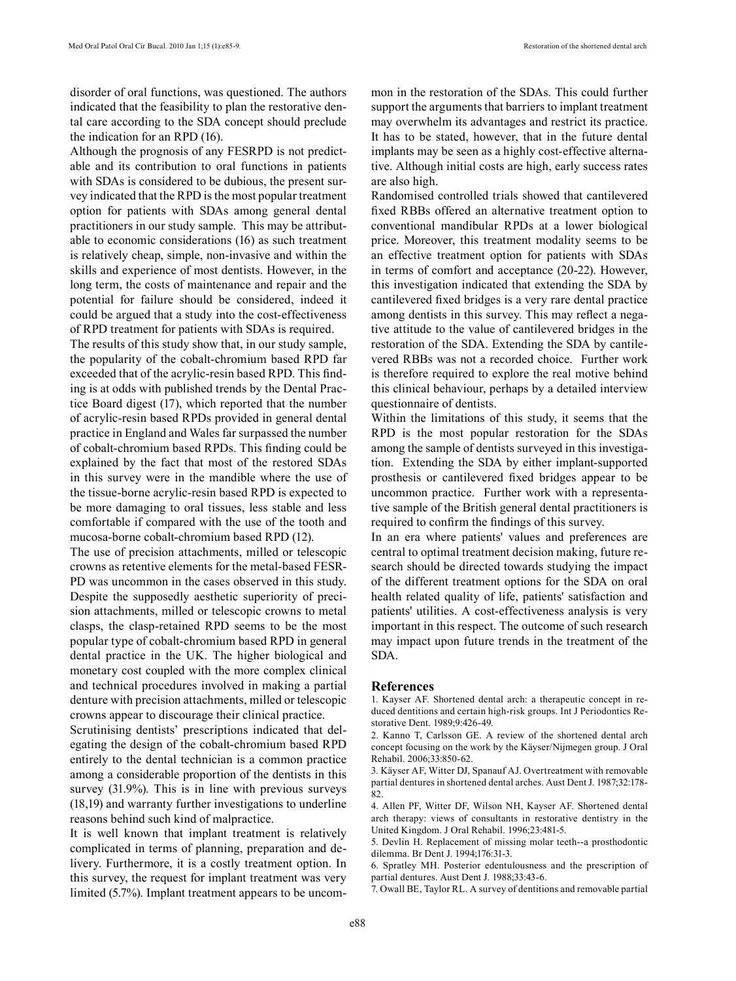disorder of oral functions, was questioned. The authors indicated that the feasibility to plan the restorative dental care according to the SDA concept should preclude the indication for an RPD (16).

Although the prognosis of any FESRPD is not predictable and its contribution to oral functions in patients with SDAs is considered to be dubious, the present survey indicated that the RPD is the most popular treatment option for patients with SDAs among general dental practitioners in our study sample. This may be attributable to economic considerations (16) as such treatment is relatively cheap, simple, non-invasive and within the skills and experience of most dentists. However, in the long term, the costs of maintenance and repair and the potential for failure should be considered, indeed it could be argued that a study into the cost-effectiveness of RPD treatment for patients with SDAs is required.

The results of this study show that, in our study sample, the popularity of the cobalt-chromium based RPD far exceeded that of the acrylic-resin based RPD. This finding is at odds with published trends by the Dental Practice Board digest (17), which reported that the number of acrylic-resin based RPDs provided in general dental practice in England and Wales far surpassed the number of cobalt-chromium based RPDs. This finding could be explained by the fact that most of the restored SDAs in this survey were in the mandible where the use of the tissue-borne acrylic-resin based RPD is expected to be more damaging to oral tissues, less stable and less comfortable if compared with the use of the tooth and mucosa-borne cobalt-chromium based RPD (12).

The use of precision attachments, milled or telescopic crowns as retentive elements for the metal-based FESR-PD was uncommon in the cases observed in this study. Despite the supposedly aesthetic superiority of precision attachments, milled or telescopic crowns to metal clasps, the clasp-retained RPD seems to be the most popular type of cobalt-chromium based RPD in general dental practice in the UK. The higher biological and monetary cost coupled with the more complex clinical and technical procedures involved in making a partial denture with precision attachments, milled or telescopic crowns appear to discourage their clinical practice.

Scrutinising dentists' prescriptions indicated that delegating the design of the cobalt-chromium based RPD entirely to the dental technician is a common practice among a considerable proportion of the dentists in this survey (31.9%). This is in line with previous surveys (18,19) and warranty further investigations to underline reasons behind such kind of malpractice.

It is well known that implant treatment is relatively complicated in terms of planning, preparation and delivery. Furthermore, it is a costly treatment option. In this survey, the request for implant treatment was very limited (5.7%). Implant treatment appears to be uncommon in the restoration of the SDAs. This could further support the arguments that barriers to implant treatment may overwhelm its advantages and restrict its practice. It has to be stated, however, that in the future dental implants may be seen as a highly cost-effective alternative. Although initial costs are high, early success rates are also high.

Randomised controlled trials showed that cantilevered fixed RBBs offered an alternative treatment option to conventional mandibular RPDs at a lower biological price. Moreover, this treatment modality seems to be an effective treatment option for patients with SDAs in terms of comfort and acceptance (20-22). However, this investigation indicated that extending the SDA by cantilevered fixed bridges is a very rare dental practice among dentists in this survey. This may reflect a negative attitude to the value of cantilevered bridges in the restoration of the SDA. Extending the SDA by cantilevered RBBs was not a recorded choice. Further work is therefore required to explore the real motive behind this clinical behaviour, perhaps by a detailed interview questionnaire of dentists.

Within the limitations of this study, it seems that the RPD is the most popular restoration for the SDAs among the sample of dentists surveyed in this investigation. Extending the SDA by either implant-supported prosthesis or cantilevered fixed bridges appear to be uncommon practice. Further work with a representative sample of the British general dental practitioners is required to confirm the findings of this survey.

In an era where patients' values and preferences are central to optimal treatment decision making, future research should be directed towards studying the impact of the different treatment options for the SDA on oral health related quality of life, patients' satisfaction and patients' utilities. A cost-effectiveness analysis is very important in this respect. The outcome of such research may impact upon future trends in the treatment of the SDA.

#### **References**

1. Kayser AF. Shortened dental arch: a therapeutic concept in reduced dentitions and certain high-risk groups. Int J Periodontics Restorative Dent. 1989;9:426-49.

2. Kanno T, Carlsson GE. A review of the shortened dental arch concept focusing on the work by the Käyser/Nijmegen group. J Oral Rehabil. 2006;33:850-62.

3. Käyser AF, Witter DJ, Spanauf AJ. Overtreatment with removable partial dentures in shortened dental arches. Aust Dent J. 1987;32:178- 82.

4. Allen PF, Witter DF, Wilson NH, Kayser AF. Shortened dental arch therapy: views of consultants in restorative dentistry in the United Kingdom. J Oral Rehabil. 1996;23:481-5.

5. Devlin H. Replacement of missing molar teeth--a prosthodontic dilemma. Br Dent J. 1994;176:31-3.

6. Spratley MH. Posterior edentulousness and the prescription of partial dentures. Aust Dent J. 1988;33:43-6.

7. Owall BE, Taylor RL. A survey of dentitions and removable partial